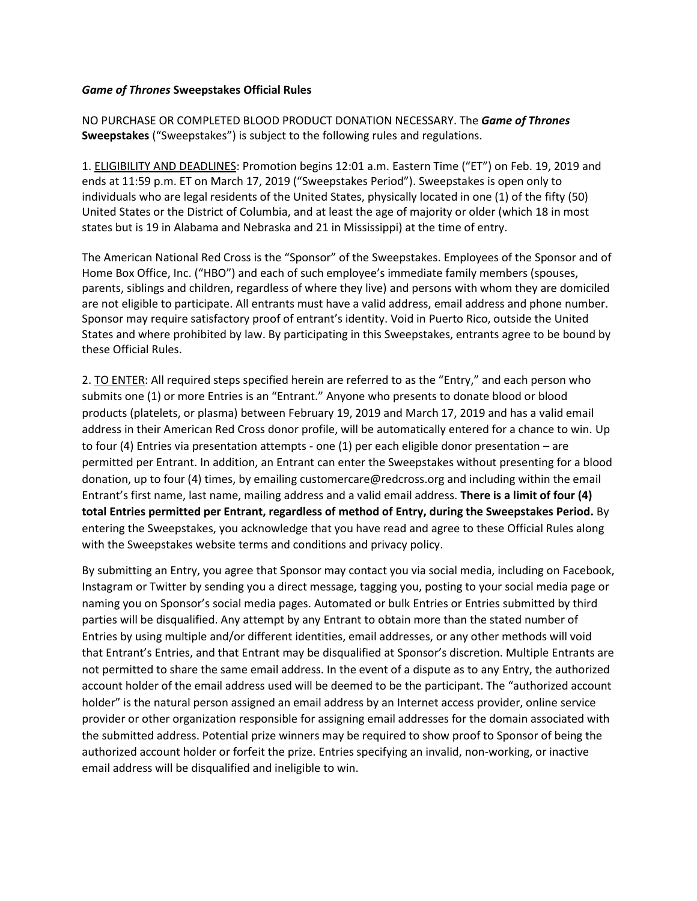## *Game of Thrones* **Sweepstakes Official Rules**

NO PURCHASE OR COMPLETED BLOOD PRODUCT DONATION NECESSARY. The *Game of Thrones* **Sweepstakes** ("Sweepstakes") is subject to the following rules and regulations.

1. ELIGIBILITY AND DEADLINES: Promotion begins 12:01 a.m. Eastern Time ("ET") on Feb. 19, 2019 and ends at 11:59 p.m. ET on March 17, 2019 ("Sweepstakes Period"). Sweepstakes is open only to individuals who are legal residents of the United States, physically located in one (1) of the fifty (50) United States or the District of Columbia, and at least the age of majority or older (which 18 in most states but is 19 in Alabama and Nebraska and 21 in Mississippi) at the time of entry.

The American National Red Cross is the "Sponsor" of the Sweepstakes. Employees of the Sponsor and of Home Box Office, Inc. ("HBO") and each of such employee's immediate family members (spouses, parents, siblings and children, regardless of where they live) and persons with whom they are domiciled are not eligible to participate. All entrants must have a valid address, email address and phone number. Sponsor may require satisfactory proof of entrant's identity. Void in Puerto Rico, outside the United States and where prohibited by law. By participating in this Sweepstakes, entrants agree to be bound by these Official Rules.

2. TO ENTER: All required steps specified herein are referred to as the "Entry," and each person who submits one (1) or more Entries is an "Entrant." Anyone who presents to donate blood or blood products (platelets, or plasma) between February 19, 2019 and March 17, 2019 and has a valid email address in their American Red Cross donor profile, will be automatically entered for a chance to win. Up to four (4) Entries via presentation attempts - one (1) per each eligible donor presentation – are permitted per Entrant. In addition, an Entrant can enter the Sweepstakes without presenting for a blood donation, up to four (4) times, by emailing customercare@redcross.org and including within the email Entrant's first name, last name, mailing address and a valid email address. **There is a limit of four (4) total Entries permitted per Entrant, regardless of method of Entry, during the Sweepstakes Period.** By entering the Sweepstakes, you acknowledge that you have read and agree to these Official Rules along with the Sweepstakes website terms and conditions and privacy policy.

By submitting an Entry, you agree that Sponsor may contact you via social media, including on Facebook, Instagram or Twitter by sending you a direct message, tagging you, posting to your social media page or naming you on Sponsor's social media pages. Automated or bulk Entries or Entries submitted by third parties will be disqualified. Any attempt by any Entrant to obtain more than the stated number of Entries by using multiple and/or different identities, email addresses, or any other methods will void that Entrant's Entries, and that Entrant may be disqualified at Sponsor's discretion. Multiple Entrants are not permitted to share the same email address. In the event of a dispute as to any Entry, the authorized account holder of the email address used will be deemed to be the participant. The "authorized account holder" is the natural person assigned an email address by an Internet access provider, online service provider or other organization responsible for assigning email addresses for the domain associated with the submitted address. Potential prize winners may be required to show proof to Sponsor of being the authorized account holder or forfeit the prize. Entries specifying an invalid, non-working, or inactive email address will be disqualified and ineligible to win.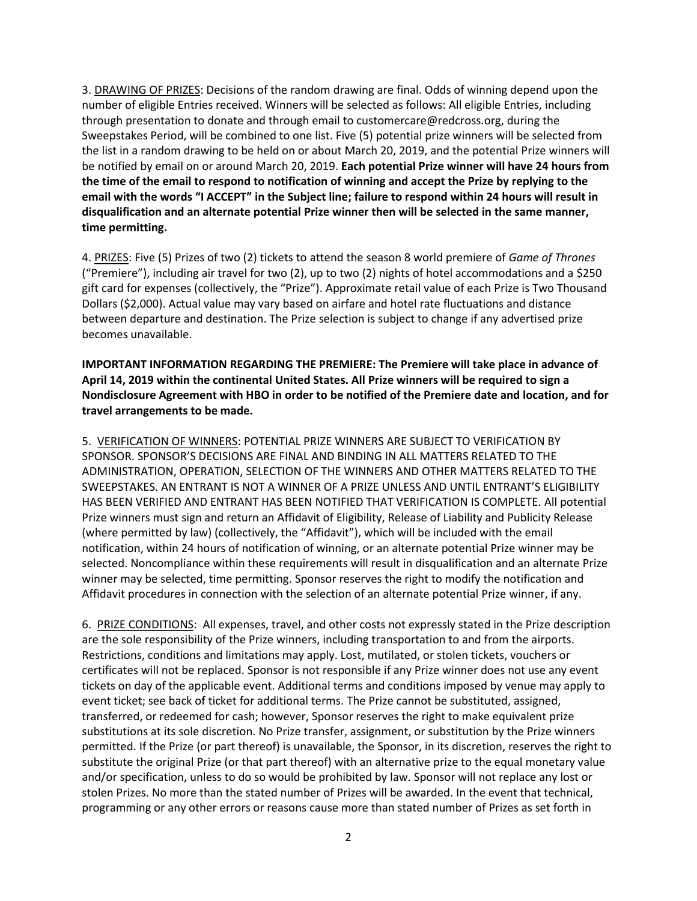3. DRAWING OF PRIZES: Decisions of the random drawing are final. Odds of winning depend upon the number of eligible Entries received. Winners will be selected as follows: All eligible Entries, including through presentation to donate and through email to customercare@redcross.org, during the Sweepstakes Period, will be combined to one list. Five (5) potential prize winners will be selected from the list in a random drawing to be held on or about March 20, 2019, and the potential Prize winners will be notified by email on or around March 20, 2019. **Each potential Prize winner will have 24 hours from the time of the email to respond to notification of winning and accept the Prize by replying to the email with the words "I ACCEPT" in the Subject line; failure to respond within 24 hours will result in disqualification and an alternate potential Prize winner then will be selected in the same manner, time permitting.**

4. PRIZES: Five (5) Prizes of two (2) tickets to attend the season 8 world premiere of *Game of Thrones* ("Premiere"), including air travel for two (2), up to two (2) nights of hotel accommodations and a \$250 gift card for expenses (collectively, the "Prize"). Approximate retail value of each Prize is Two Thousand Dollars (\$2,000). Actual value may vary based on airfare and hotel rate fluctuations and distance between departure and destination. The Prize selection is subject to change if any advertised prize becomes unavailable.

**IMPORTANT INFORMATION REGARDING THE PREMIERE: The Premiere will take place in advance of April 14, 2019 within the continental United States. All Prize winners will be required to sign a Nondisclosure Agreement with HBO in order to be notified of the Premiere date and location, and for travel arrangements to be made.**

5. VERIFICATION OF WINNERS: POTENTIAL PRIZE WINNERS ARE SUBJECT TO VERIFICATION BY SPONSOR. SPONSOR'S DECISIONS ARE FINAL AND BINDING IN ALL MATTERS RELATED TO THE ADMINISTRATION, OPERATION, SELECTION OF THE WINNERS AND OTHER MATTERS RELATED TO THE SWEEPSTAKES. AN ENTRANT IS NOT A WINNER OF A PRIZE UNLESS AND UNTIL ENTRANT'S ELIGIBILITY HAS BEEN VERIFIED AND ENTRANT HAS BEEN NOTIFIED THAT VERIFICATION IS COMPLETE. All potential Prize winners must sign and return an Affidavit of Eligibility, Release of Liability and Publicity Release (where permitted by law) (collectively, the "Affidavit"), which will be included with the email notification, within 24 hours of notification of winning, or an alternate potential Prize winner may be selected. Noncompliance within these requirements will result in disqualification and an alternate Prize winner may be selected, time permitting. Sponsor reserves the right to modify the notification and Affidavit procedures in connection with the selection of an alternate potential Prize winner, if any.

6. PRIZE CONDITIONS: All expenses, travel, and other costs not expressly stated in the Prize description are the sole responsibility of the Prize winners, including transportation to and from the airports. Restrictions, conditions and limitations may apply. Lost, mutilated, or stolen tickets, vouchers or certificates will not be replaced. Sponsor is not responsible if any Prize winner does not use any event tickets on day of the applicable event. Additional terms and conditions imposed by venue may apply to event ticket; see back of ticket for additional terms. The Prize cannot be substituted, assigned, transferred, or redeemed for cash; however, Sponsor reserves the right to make equivalent prize substitutions at its sole discretion. No Prize transfer, assignment, or substitution by the Prize winners permitted. If the Prize (or part thereof) is unavailable, the Sponsor, in its discretion, reserves the right to substitute the original Prize (or that part thereof) with an alternative prize to the equal monetary value and/or specification, unless to do so would be prohibited by law. Sponsor will not replace any lost or stolen Prizes. No more than the stated number of Prizes will be awarded. In the event that technical, programming or any other errors or reasons cause more than stated number of Prizes as set forth in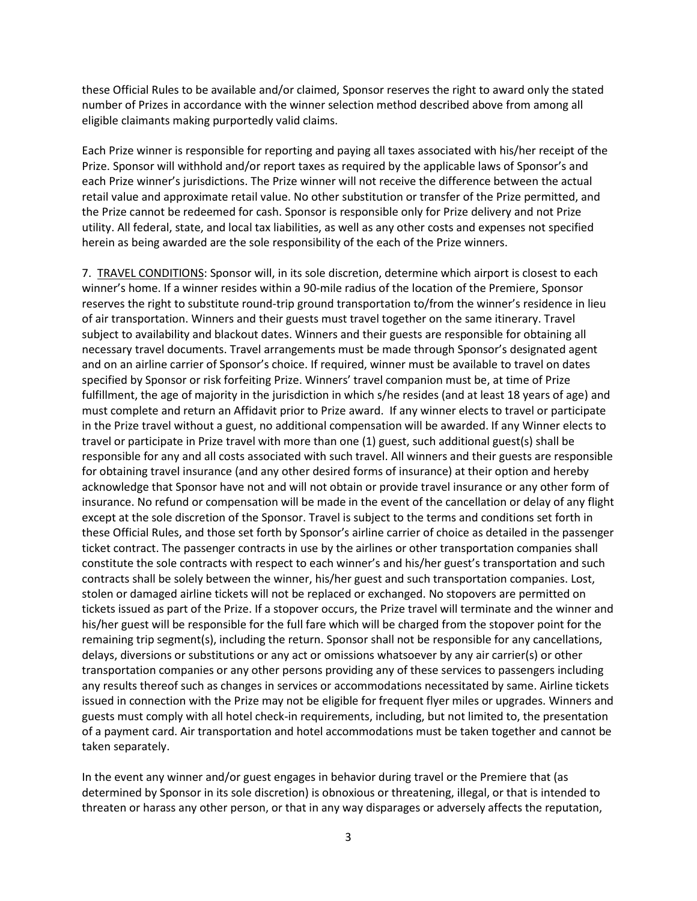these Official Rules to be available and/or claimed, Sponsor reserves the right to award only the stated number of Prizes in accordance with the winner selection method described above from among all eligible claimants making purportedly valid claims.

Each Prize winner is responsible for reporting and paying all taxes associated with his/her receipt of the Prize. Sponsor will withhold and/or report taxes as required by the applicable laws of Sponsor's and each Prize winner's jurisdictions. The Prize winner will not receive the difference between the actual retail value and approximate retail value. No other substitution or transfer of the Prize permitted, and the Prize cannot be redeemed for cash. Sponsor is responsible only for Prize delivery and not Prize utility. All federal, state, and local tax liabilities, as well as any other costs and expenses not specified herein as being awarded are the sole responsibility of the each of the Prize winners.

7. TRAVEL CONDITIONS: Sponsor will, in its sole discretion, determine which airport is closest to each winner's home. If a winner resides within a 90-mile radius of the location of the Premiere, Sponsor reserves the right to substitute round-trip ground transportation to/from the winner's residence in lieu of air transportation. Winners and their guests must travel together on the same itinerary. Travel subject to availability and blackout dates. Winners and their guests are responsible for obtaining all necessary travel documents. Travel arrangements must be made through Sponsor's designated agent and on an airline carrier of Sponsor's choice. If required, winner must be available to travel on dates specified by Sponsor or risk forfeiting Prize. Winners' travel companion must be, at time of Prize fulfillment, the age of majority in the jurisdiction in which s/he resides (and at least 18 years of age) and must complete and return an Affidavit prior to Prize award. If any winner elects to travel or participate in the Prize travel without a guest, no additional compensation will be awarded. If any Winner elects to travel or participate in Prize travel with more than one (1) guest, such additional guest(s) shall be responsible for any and all costs associated with such travel. All winners and their guests are responsible for obtaining travel insurance (and any other desired forms of insurance) at their option and hereby acknowledge that Sponsor have not and will not obtain or provide travel insurance or any other form of insurance. No refund or compensation will be made in the event of the cancellation or delay of any flight except at the sole discretion of the Sponsor. Travel is subject to the terms and conditions set forth in these Official Rules, and those set forth by Sponsor's airline carrier of choice as detailed in the passenger ticket contract. The passenger contracts in use by the airlines or other transportation companies shall constitute the sole contracts with respect to each winner's and his/her guest's transportation and such contracts shall be solely between the winner, his/her guest and such transportation companies. Lost, stolen or damaged airline tickets will not be replaced or exchanged. No stopovers are permitted on tickets issued as part of the Prize. If a stopover occurs, the Prize travel will terminate and the winner and his/her guest will be responsible for the full fare which will be charged from the stopover point for the remaining trip segment(s), including the return. Sponsor shall not be responsible for any cancellations, delays, diversions or substitutions or any act or omissions whatsoever by any air carrier(s) or other transportation companies or any other persons providing any of these services to passengers including any results thereof such as changes in services or accommodations necessitated by same. Airline tickets issued in connection with the Prize may not be eligible for frequent flyer miles or upgrades. Winners and guests must comply with all hotel check-in requirements, including, but not limited to, the presentation of a payment card. Air transportation and hotel accommodations must be taken together and cannot be taken separately.

In the event any winner and/or guest engages in behavior during travel or the Premiere that (as determined by Sponsor in its sole discretion) is obnoxious or threatening, illegal, or that is intended to threaten or harass any other person, or that in any way disparages or adversely affects the reputation,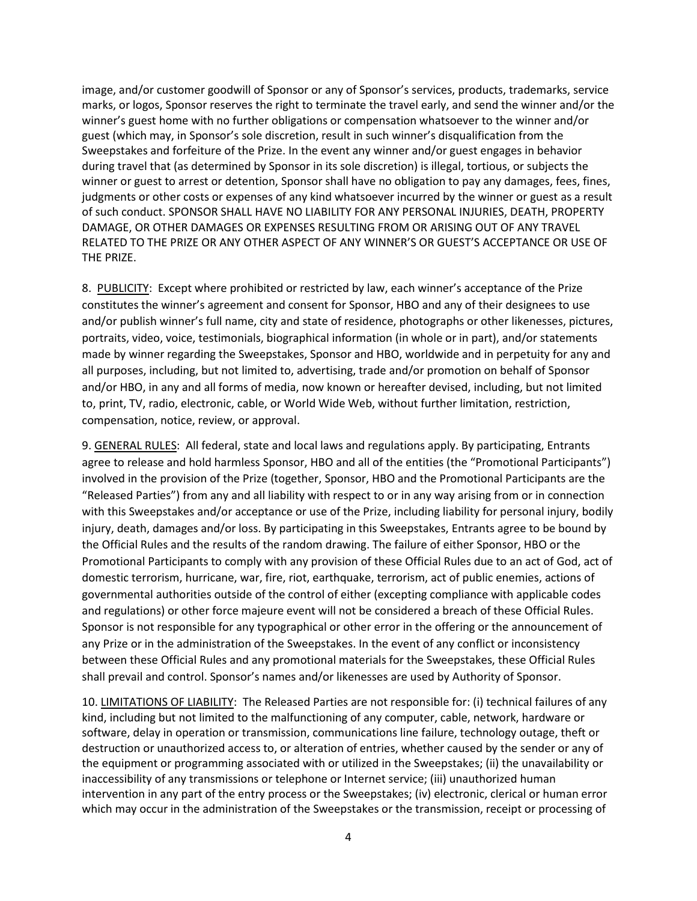image, and/or customer goodwill of Sponsor or any of Sponsor's services, products, trademarks, service marks, or logos, Sponsor reserves the right to terminate the travel early, and send the winner and/or the winner's guest home with no further obligations or compensation whatsoever to the winner and/or guest (which may, in Sponsor's sole discretion, result in such winner's disqualification from the Sweepstakes and forfeiture of the Prize. In the event any winner and/or guest engages in behavior during travel that (as determined by Sponsor in its sole discretion) is illegal, tortious, or subjects the winner or guest to arrest or detention, Sponsor shall have no obligation to pay any damages, fees, fines, judgments or other costs or expenses of any kind whatsoever incurred by the winner or guest as a result of such conduct. SPONSOR SHALL HAVE NO LIABILITY FOR ANY PERSONAL INJURIES, DEATH, PROPERTY DAMAGE, OR OTHER DAMAGES OR EXPENSES RESULTING FROM OR ARISING OUT OF ANY TRAVEL RELATED TO THE PRIZE OR ANY OTHER ASPECT OF ANY WINNER'S OR GUEST'S ACCEPTANCE OR USE OF THE PRIZE.

8. PUBLICITY: Except where prohibited or restricted by law, each winner's acceptance of the Prize constitutes the winner's agreement and consent for Sponsor, HBO and any of their designees to use and/or publish winner's full name, city and state of residence, photographs or other likenesses, pictures, portraits, video, voice, testimonials, biographical information (in whole or in part), and/or statements made by winner regarding the Sweepstakes, Sponsor and HBO, worldwide and in perpetuity for any and all purposes, including, but not limited to, advertising, trade and/or promotion on behalf of Sponsor and/or HBO, in any and all forms of media, now known or hereafter devised, including, but not limited to, print, TV, radio, electronic, cable, or World Wide Web, without further limitation, restriction, compensation, notice, review, or approval.

9. GENERAL RULES: All federal, state and local laws and regulations apply. By participating, Entrants agree to release and hold harmless Sponsor, HBO and all of the entities (the "Promotional Participants") involved in the provision of the Prize (together, Sponsor, HBO and the Promotional Participants are the "Released Parties") from any and all liability with respect to or in any way arising from or in connection with this Sweepstakes and/or acceptance or use of the Prize, including liability for personal injury, bodily injury, death, damages and/or loss. By participating in this Sweepstakes, Entrants agree to be bound by the Official Rules and the results of the random drawing. The failure of either Sponsor, HBO or the Promotional Participants to comply with any provision of these Official Rules due to an act of God, act of domestic terrorism, hurricane, war, fire, riot, earthquake, terrorism, act of public enemies, actions of governmental authorities outside of the control of either (excepting compliance with applicable codes and regulations) or other force majeure event will not be considered a breach of these Official Rules. Sponsor is not responsible for any typographical or other error in the offering or the announcement of any Prize or in the administration of the Sweepstakes. In the event of any conflict or inconsistency between these Official Rules and any promotional materials for the Sweepstakes, these Official Rules shall prevail and control. Sponsor's names and/or likenesses are used by Authority of Sponsor.

10. LIMITATIONS OF LIABILITY: The Released Parties are not responsible for: (i) technical failures of any kind, including but not limited to the malfunctioning of any computer, cable, network, hardware or software, delay in operation or transmission, communications line failure, technology outage, theft or destruction or unauthorized access to, or alteration of entries, whether caused by the sender or any of the equipment or programming associated with or utilized in the Sweepstakes; (ii) the unavailability or inaccessibility of any transmissions or telephone or Internet service; (iii) unauthorized human intervention in any part of the entry process or the Sweepstakes; (iv) electronic, clerical or human error which may occur in the administration of the Sweepstakes or the transmission, receipt or processing of